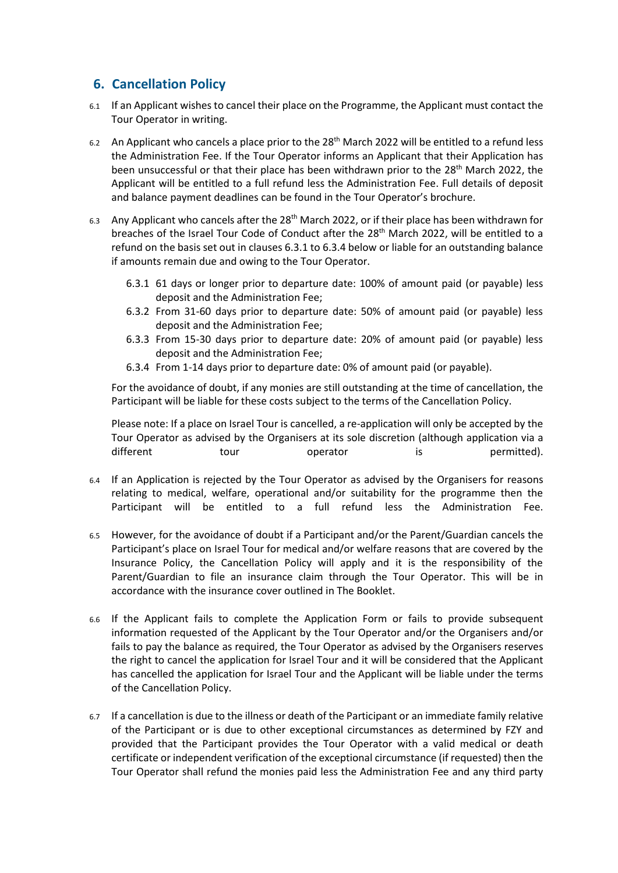## **6. Cancellation Policy**

- 6.1 If an Applicant wishes to cancel their place on the Programme, the Applicant must contact the Tour Operator in writing.
- 6.2 An Applicant who cancels a place prior to the 28<sup>th</sup> March 2022 will be entitled to a refund less the Administration Fee. If the Tour Operator informs an Applicant that their Application has been unsuccessful or that their place has been withdrawn prior to the 28<sup>th</sup> March 2022, the Applicant will be entitled to a full refund less the Administration Fee. Full details of deposit and balance payment deadlines can be found in the Tour Operator's brochure.
- 6.3 Any Applicant who cancels after the 28<sup>th</sup> March 2022, or if their place has been withdrawn for breaches of the Israel Tour Code of Conduct after the 28<sup>th</sup> March 2022, will be entitled to a refund on the basis set out in clauses 6.3.1 to 6.3.4 below or liable for an outstanding balance if amounts remain due and owing to the Tour Operator.
	- 6.3.1 61 days or longer prior to departure date: 100% of amount paid (or payable) less deposit and the Administration Fee;
	- 6.3.2 From 31-60 days prior to departure date: 50% of amount paid (or payable) less deposit and the Administration Fee;
	- 6.3.3 From 15-30 days prior to departure date: 20% of amount paid (or payable) less deposit and the Administration Fee;
	- 6.3.4 From 1-14 days prior to departure date: 0% of amount paid (or payable).

For the avoidance of doubt, if any monies are still outstanding at the time of cancellation, the Participant will be liable for these costs subject to the terms of the Cancellation Policy.

Please note: If a place on Israel Tour is cancelled, a re-application will only be accepted by the Tour Operator as advised by the Organisers at its sole discretion (although application via a different tour operator is permitted).

- 6.4 If an Application is rejected by the Tour Operator as advised by the Organisers for reasons relating to medical, welfare, operational and/or suitability for the programme then the Participant will be entitled to a full refund less the Administration Fee.
- 6.5 However, for the avoidance of doubt if a Participant and/or the Parent/Guardian cancels the Participant's place on Israel Tour for medical and/or welfare reasons that are covered by the Insurance Policy, the Cancellation Policy will apply and it is the responsibility of the Parent/Guardian to file an insurance claim through the Tour Operator. This will be in accordance with the insurance cover outlined in The Booklet.
- 6.6 If the Applicant fails to complete the Application Form or fails to provide subsequent information requested of the Applicant by the Tour Operator and/or the Organisers and/or fails to pay the balance as required, the Tour Operator as advised by the Organisers reserves the right to cancel the application for Israel Tour and it will be considered that the Applicant has cancelled the application for Israel Tour and the Applicant will be liable under the terms of the Cancellation Policy.
- 6.7 If a cancellation is due to the illness or death of the Participant or an immediate family relative of the Participant or is due to other exceptional circumstances as determined by FZY and provided that the Participant provides the Tour Operator with a valid medical or death certificate or independent verification of the exceptional circumstance (if requested) then the Tour Operator shall refund the monies paid less the Administration Fee and any third party